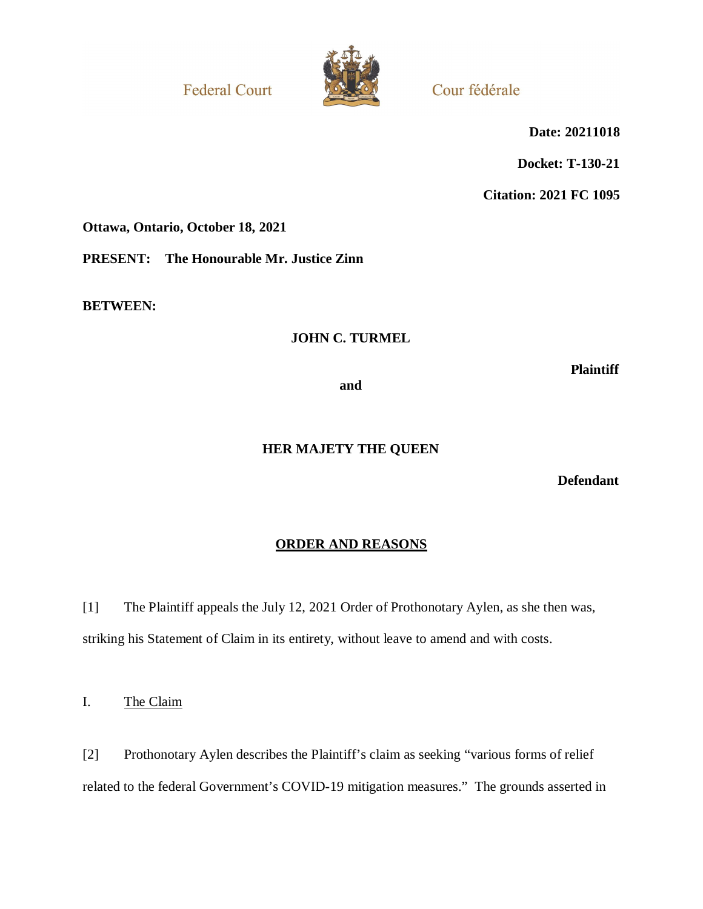**Federal Court** 



Cour fédérale

**Date: 20211018**

**Docket: T-130-21**

**Citation: 2021 FC 1095**

**Ottawa, Ontario, October 18, 2021**

**PRESENT: The Honourable Mr. Justice Zinn**

**BETWEEN:**

## **JOHN C. TURMEL**

**Plaintiff**

**and**

# **HER MAJETY THE QUEEN**

**Defendant**

## **ORDER AND REASONS**

[1] The Plaintiff appeals the July 12, 2021 Order of Prothonotary Aylen, as she then was, striking his Statement of Claim in its entirety, without leave to amend and with costs.

I. The Claim

[2] Prothonotary Aylen describes the Plaintiff's claim as seeking "various forms of relief related to the federal Government's COVID-19 mitigation measures." The grounds asserted in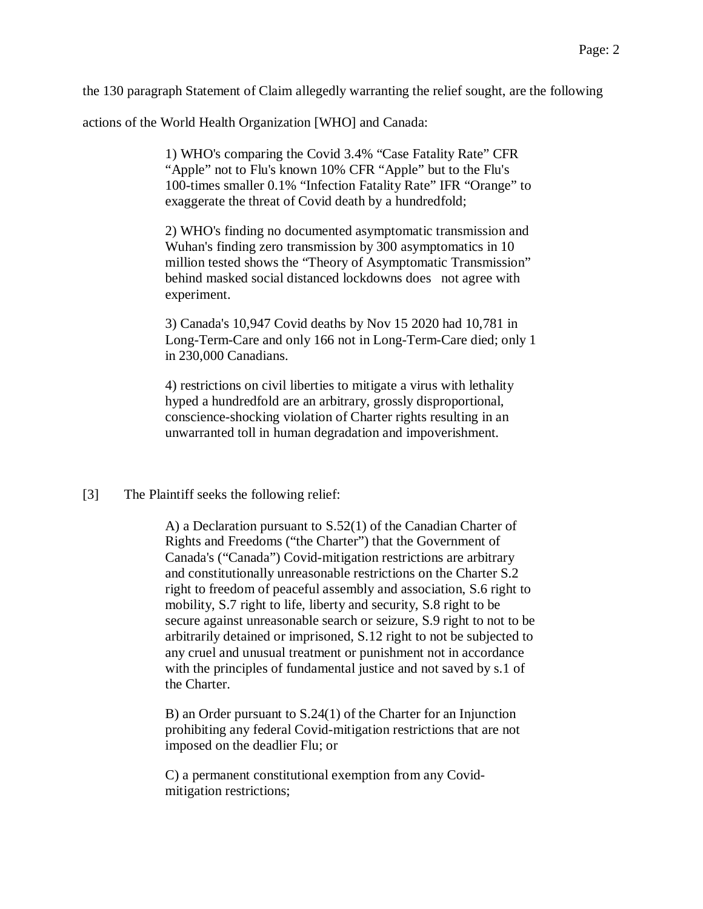the 130 paragraph Statement of Claim allegedly warranting the relief sought, are the following

actions of the World Health Organization [WHO] and Canada:

1) WHO's comparing the Covid 3.4% "Case Fatality Rate" CFR "Apple" not to Flu's known 10% CFR "Apple" but to the Flu's 100-times smaller 0.1% "Infection Fatality Rate" IFR "Orange" to exaggerate the threat of Covid death by a hundredfold;

2) WHO's finding no documented asymptomatic transmission and Wuhan's finding zero transmission by 300 asymptomatics in 10 million tested shows the "Theory of Asymptomatic Transmission" behind masked social distanced lockdowns does not agree with experiment.

3) Canada's 10,947 Covid deaths by Nov 15 2020 had 10,781 in Long-Term-Care and only 166 not in Long-Term-Care died; only 1 in 230,000 Canadians.

4) restrictions on civil liberties to mitigate a virus with lethality hyped a hundredfold are an arbitrary, grossly disproportional, conscience-shocking violation of Charter rights resulting in an unwarranted toll in human degradation and impoverishment.

[3] The Plaintiff seeks the following relief:

A) a Declaration pursuant to S.52(1) of the Canadian Charter of Rights and Freedoms ("the Charter") that the Government of Canada's ("Canada") Covid-mitigation restrictions are arbitrary and constitutionally unreasonable restrictions on the Charter S.2 right to freedom of peaceful assembly and association, S.6 right to mobility, S.7 right to life, liberty and security, S.8 right to be secure against unreasonable search or seizure, S.9 right to not to be arbitrarily detained or imprisoned, S.12 right to not be subjected to any cruel and unusual treatment or punishment not in accordance with the principles of fundamental justice and not saved by s.1 of the Charter.

B) an Order pursuant to S.24(1) of the Charter for an Injunction prohibiting any federal Covid-mitigation restrictions that are not imposed on the deadlier Flu; or

C) a permanent constitutional exemption from any Covidmitigation restrictions;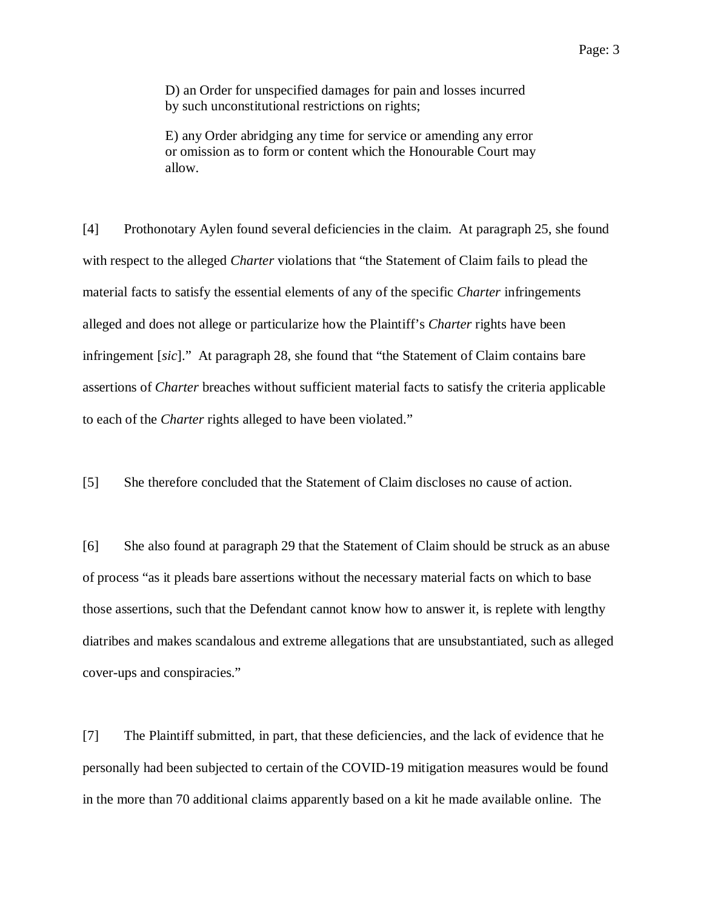D) an Order for unspecified damages for pain and losses incurred by such unconstitutional restrictions on rights;

E) any Order abridging any time for service or amending any error or omission as to form or content which the Honourable Court may allow.

[4] Prothonotary Aylen found several deficiencies in the claim. At paragraph 25, she found with respect to the alleged *Charter* violations that "the Statement of Claim fails to plead the material facts to satisfy the essential elements of any of the specific *Charter* infringements alleged and does not allege or particularize how the Plaintiff's *Charter* rights have been infringement [*sic*]." At paragraph 28, she found that "the Statement of Claim contains bare assertions of *Charter* breaches without sufficient material facts to satisfy the criteria applicable to each of the *Charter* rights alleged to have been violated."

[5] She therefore concluded that the Statement of Claim discloses no cause of action.

[6] She also found at paragraph 29 that the Statement of Claim should be struck as an abuse of process "as it pleads bare assertions without the necessary material facts on which to base those assertions, such that the Defendant cannot know how to answer it, is replete with lengthy diatribes and makes scandalous and extreme allegations that are unsubstantiated, such as alleged cover-ups and conspiracies."

[7] The Plaintiff submitted, in part, that these deficiencies, and the lack of evidence that he personally had been subjected to certain of the COVID-19 mitigation measures would be found in the more than 70 additional claims apparently based on a kit he made available online. The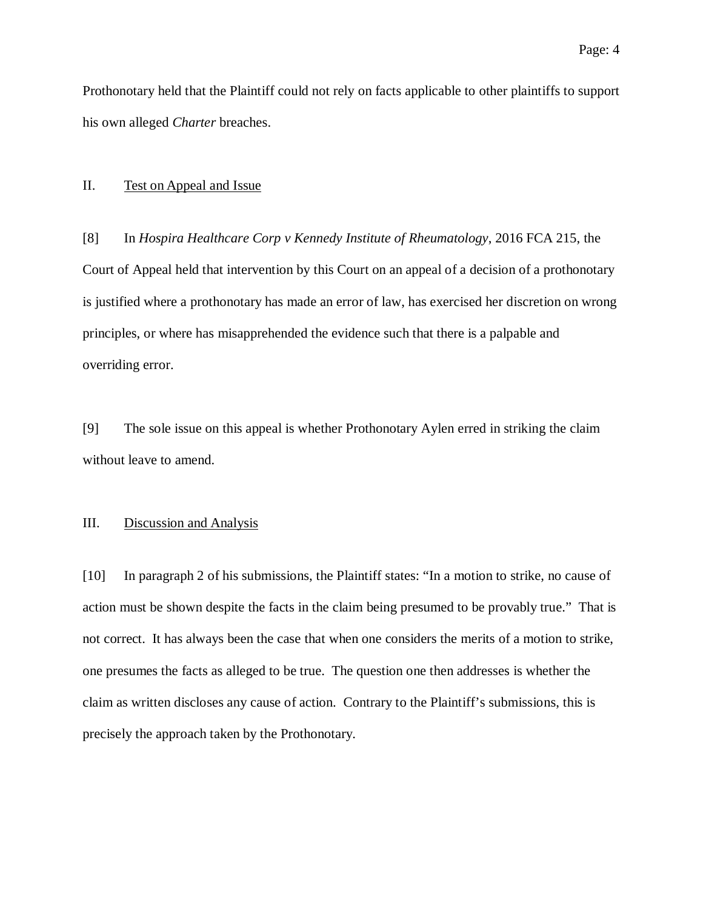Prothonotary held that the Plaintiff could not rely on facts applicable to other plaintiffs to support his own alleged *Charter* breaches.

#### II. Test on Appeal and Issue

[8] In *Hospira Healthcare Corp v Kennedy Institute of Rheumatology*, 2016 FCA 215, the Court of Appeal held that intervention by this Court on an appeal of a decision of a prothonotary is justified where a prothonotary has made an error of law, has exercised her discretion on wrong principles, or where has misapprehended the evidence such that there is a palpable and overriding error.

[9] The sole issue on this appeal is whether Prothonotary Aylen erred in striking the claim without leave to amend.

### III. Discussion and Analysis

[10] In paragraph 2 of his submissions, the Plaintiff states: "In a motion to strike, no cause of action must be shown despite the facts in the claim being presumed to be provably true." That is not correct. It has always been the case that when one considers the merits of a motion to strike, one presumes the facts as alleged to be true. The question one then addresses is whether the claim as written discloses any cause of action. Contrary to the Plaintiff's submissions, this is precisely the approach taken by the Prothonotary.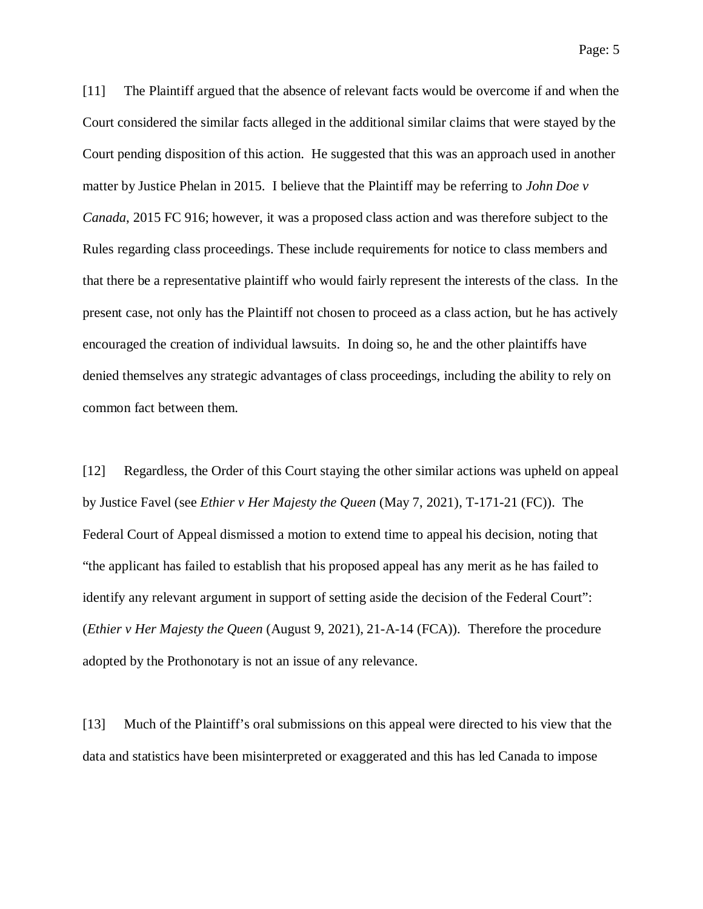Page: 5

[11] The Plaintiff argued that the absence of relevant facts would be overcome if and when the Court considered the similar facts alleged in the additional similar claims that were stayed by the Court pending disposition of this action. He suggested that this was an approach used in another matter by Justice Phelan in 2015. I believe that the Plaintiff may be referring to *John Doe v Canada*, 2015 FC 916; however, it was a proposed class action and was therefore subject to the Rules regarding class proceedings. These include requirements for notice to class members and that there be a representative plaintiff who would fairly represent the interests of the class. In the present case, not only has the Plaintiff not chosen to proceed as a class action, but he has actively encouraged the creation of individual lawsuits. In doing so, he and the other plaintiffs have denied themselves any strategic advantages of class proceedings, including the ability to rely on common fact between them.

[12] Regardless, the Order of this Court staying the other similar actions was upheld on appeal by Justice Favel (see *Ethier v Her Majesty the Queen* (May 7, 2021), T-171-21 (FC)). The Federal Court of Appeal dismissed a motion to extend time to appeal his decision, noting that "the applicant has failed to establish that his proposed appeal has any merit as he has failed to identify any relevant argument in support of setting aside the decision of the Federal Court": (*Ethier v Her Majesty the Queen* (August 9, 2021), 21-A-14 (FCA)). Therefore the procedure adopted by the Prothonotary is not an issue of any relevance.

[13] Much of the Plaintiff's oral submissions on this appeal were directed to his view that the data and statistics have been misinterpreted or exaggerated and this has led Canada to impose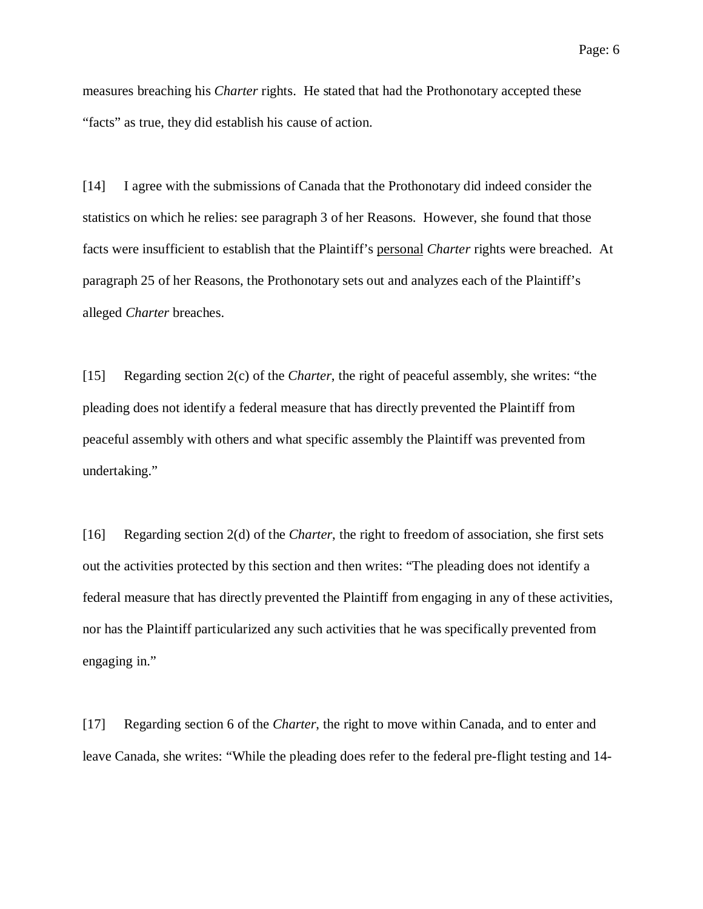measures breaching his *Charter* rights. He stated that had the Prothonotary accepted these "facts" as true, they did establish his cause of action.

[14] I agree with the submissions of Canada that the Prothonotary did indeed consider the statistics on which he relies: see paragraph 3 of her Reasons. However, she found that those facts were insufficient to establish that the Plaintiff's personal *Charter* rights were breached. At paragraph 25 of her Reasons, the Prothonotary sets out and analyzes each of the Plaintiff's alleged *Charter* breaches.

[15] Regarding section 2(c) of the *Charter*, the right of peaceful assembly, she writes: "the pleading does not identify a federal measure that has directly prevented the Plaintiff from peaceful assembly with others and what specific assembly the Plaintiff was prevented from undertaking."

[16] Regarding section 2(d) of the *Charter*, the right to freedom of association, she first sets out the activities protected by this section and then writes: "The pleading does not identify a federal measure that has directly prevented the Plaintiff from engaging in any of these activities, nor has the Plaintiff particularized any such activities that he was specifically prevented from engaging in."

[17] Regarding section 6 of the *Charter*, the right to move within Canada, and to enter and leave Canada, she writes: "While the pleading does refer to the federal pre-flight testing and 14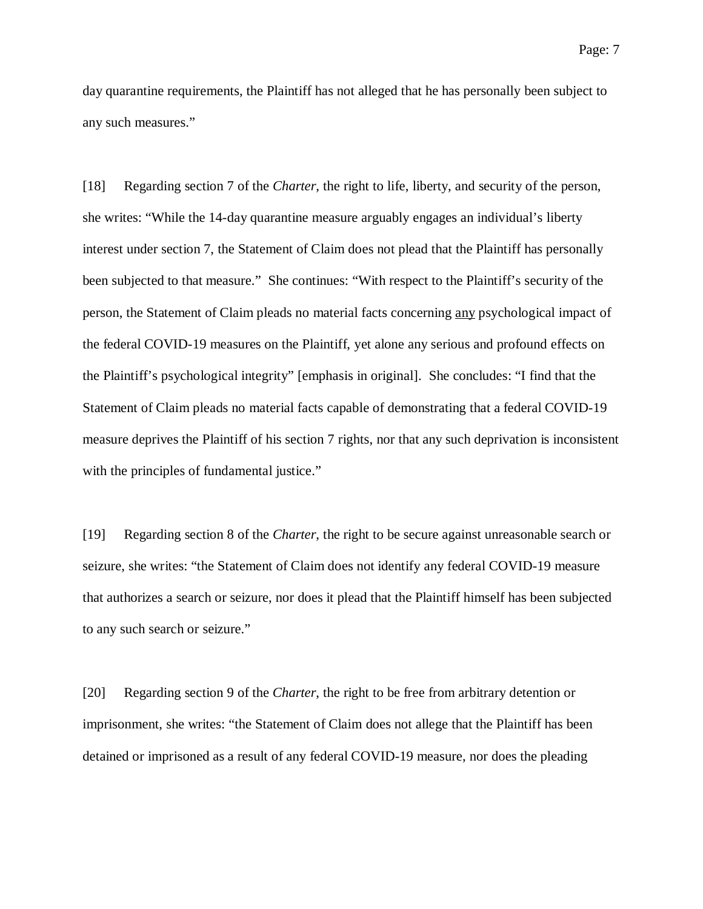day quarantine requirements, the Plaintiff has not alleged that he has personally been subject to any such measures."

[18] Regarding section 7 of the *Charter*, the right to life, liberty, and security of the person, she writes: "While the 14-day quarantine measure arguably engages an individual's liberty interest under section 7, the Statement of Claim does not plead that the Plaintiff has personally been subjected to that measure." She continues: "With respect to the Plaintiff's security of the person, the Statement of Claim pleads no material facts concerning any psychological impact of the federal COVID-19 measures on the Plaintiff, yet alone any serious and profound effects on the Plaintiff's psychological integrity" [emphasis in original]. She concludes: "I find that the Statement of Claim pleads no material facts capable of demonstrating that a federal COVID-19 measure deprives the Plaintiff of his section 7 rights, nor that any such deprivation is inconsistent with the principles of fundamental justice."

[19] Regarding section 8 of the *Charter*, the right to be secure against unreasonable search or seizure, she writes: "the Statement of Claim does not identify any federal COVID-19 measure that authorizes a search or seizure, nor does it plead that the Plaintiff himself has been subjected to any such search or seizure."

[20] Regarding section 9 of the *Charter*, the right to be free from arbitrary detention or imprisonment, she writes: "the Statement of Claim does not allege that the Plaintiff has been detained or imprisoned as a result of any federal COVID-19 measure, nor does the pleading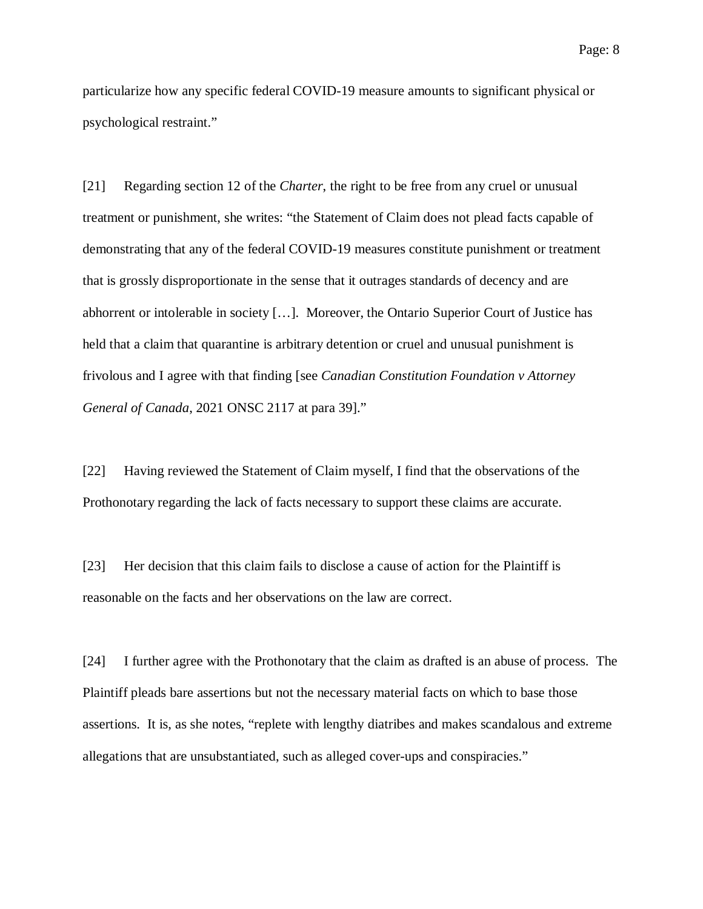particularize how any specific federal COVID-19 measure amounts to significant physical or psychological restraint."

[21] Regarding section 12 of the *Charter*, the right to be free from any cruel or unusual treatment or punishment, she writes: "the Statement of Claim does not plead facts capable of demonstrating that any of the federal COVID-19 measures constitute punishment or treatment that is grossly disproportionate in the sense that it outrages standards of decency and are abhorrent or intolerable in society […]. Moreover, the Ontario Superior Court of Justice has held that a claim that quarantine is arbitrary detention or cruel and unusual punishment is frivolous and I agree with that finding [see *Canadian Constitution Foundation v Attorney General of Canada*, 2021 ONSC 2117 at para 39]."

[22] Having reviewed the Statement of Claim myself, I find that the observations of the Prothonotary regarding the lack of facts necessary to support these claims are accurate.

[23] Her decision that this claim fails to disclose a cause of action for the Plaintiff is reasonable on the facts and her observations on the law are correct.

[24] I further agree with the Prothonotary that the claim as drafted is an abuse of process. The Plaintiff pleads bare assertions but not the necessary material facts on which to base those assertions. It is, as she notes, "replete with lengthy diatribes and makes scandalous and extreme allegations that are unsubstantiated, such as alleged cover-ups and conspiracies."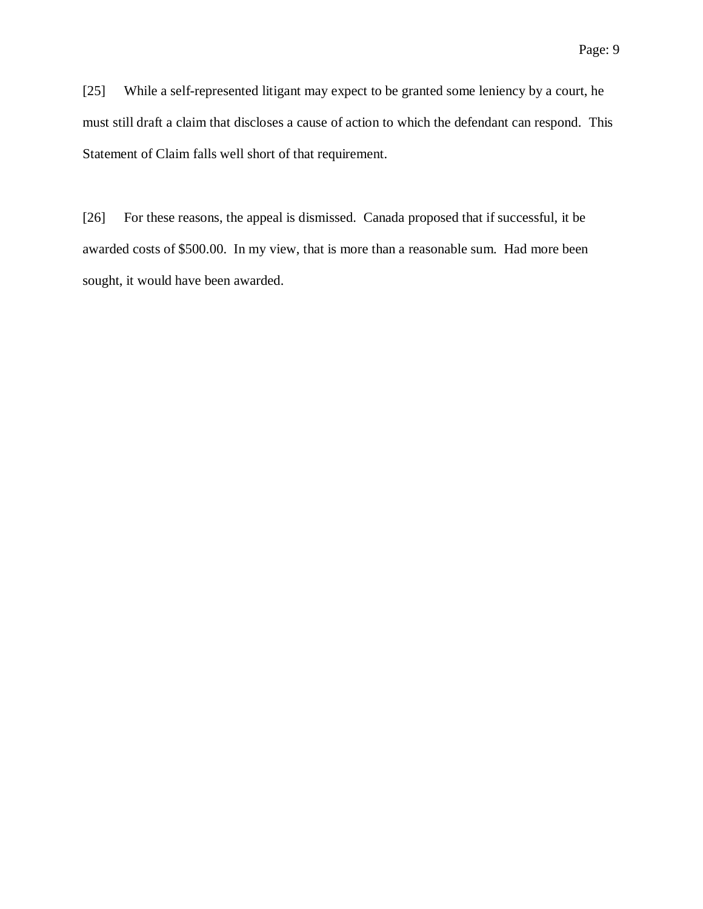[25] While a self-represented litigant may expect to be granted some leniency by a court, he must still draft a claim that discloses a cause of action to which the defendant can respond. This Statement of Claim falls well short of that requirement.

[26] For these reasons, the appeal is dismissed. Canada proposed that if successful, it be awarded costs of \$500.00. In my view, that is more than a reasonable sum. Had more been sought, it would have been awarded.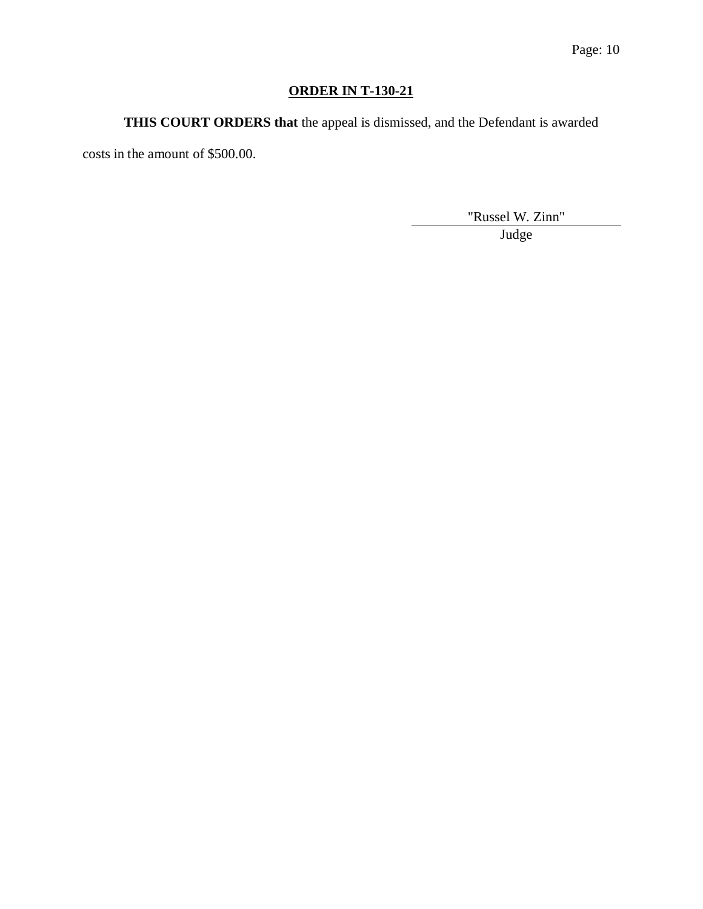# **ORDER IN T-130-21**

**THIS COURT ORDERS that** the appeal is dismissed, and the Defendant is awarded

costs in the amount of \$500.00.

"Russel W. Zinn" Judge